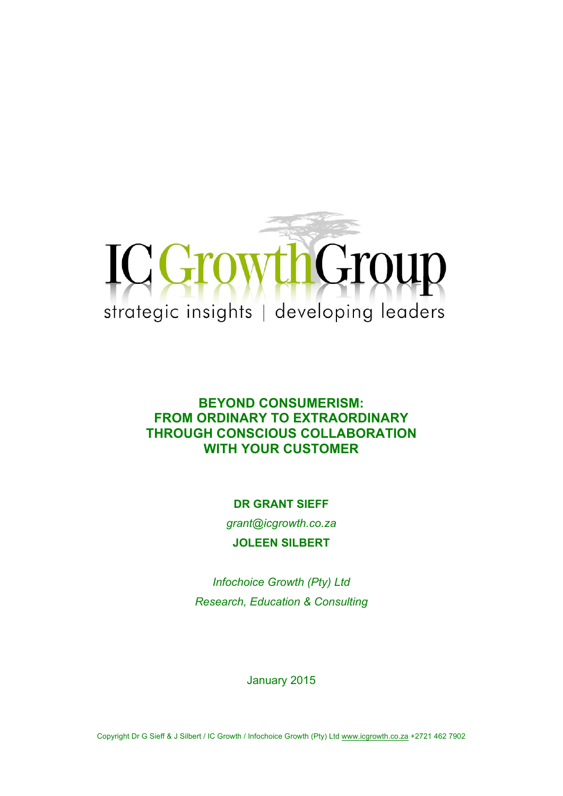

# **BEYOND CONSUMERISM: FROM ORDINARY TO EXTRAORDINARY THROUGH CONSCIOUS COLLABORATION WITH YOUR CUSTOMER**

**DR GRANT SIEFF**

*grant@icgrowth.co.za* **JOLEEN SILBERT**

*Infochoice Growth (Pty) Ltd Research, Education & Consulting*

January 2015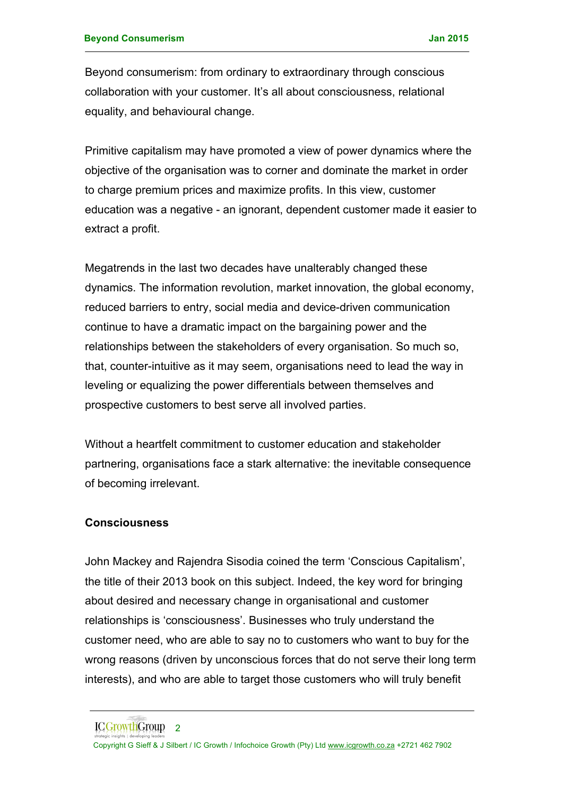Beyond consumerism: from ordinary to extraordinary through conscious collaboration with your customer. It's all about consciousness, relational equality, and behavioural change.

Primitive capitalism may have promoted a view of power dynamics where the objective of the organisation was to corner and dominate the market in order to charge premium prices and maximize profits. In this view, customer education was a negative - an ignorant, dependent customer made it easier to extract a profit.

Megatrends in the last two decades have unalterably changed these dynamics. The information revolution, market innovation, the global economy, reduced barriers to entry, social media and device-driven communication continue to have a dramatic impact on the bargaining power and the relationships between the stakeholders of every organisation. So much so, that, counter-intuitive as it may seem, organisations need to lead the way in leveling or equalizing the power differentials between themselves and prospective customers to best serve all involved parties.

Without a heartfelt commitment to customer education and stakeholder partnering, organisations face a stark alternative: the inevitable consequence of becoming irrelevant.

#### **Consciousness**

John Mackey and Rajendra Sisodia coined the term 'Conscious Capitalism', the title of their 2013 book on this subject. Indeed, the key word for bringing about desired and necessary change in organisational and customer relationships is 'consciousness'. Businesses who truly understand the customer need, who are able to say no to customers who want to buy for the wrong reasons (driven by unconscious forces that do not serve their long term interests), and who are able to target those customers who will truly benefit

Copyright G Sieff & J Silbert / IC Growth / Infochoice Growth (Pty) Ltd www.icgrowth.co.za +2721 462 7902

ICGrowthGroup<sub>2</sub>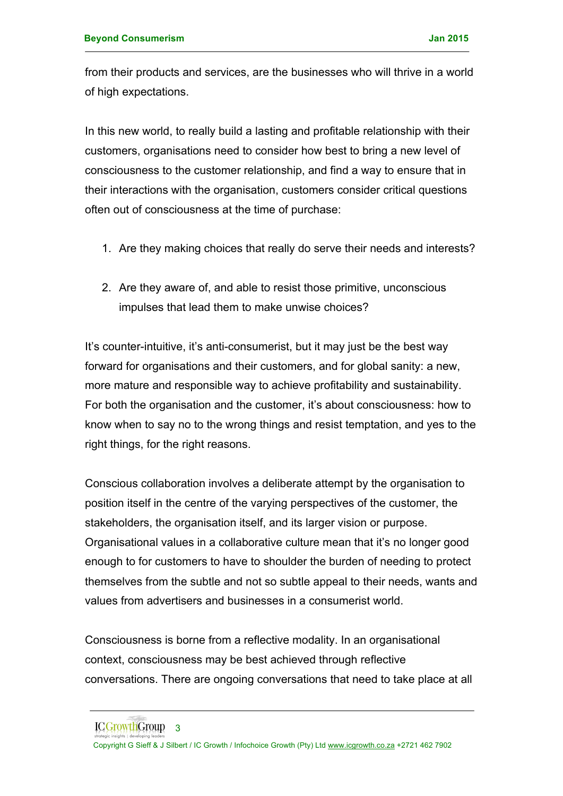from their products and services, are the businesses who will thrive in a world of high expectations.

In this new world, to really build a lasting and profitable relationship with their customers, organisations need to consider how best to bring a new level of consciousness to the customer relationship, and find a way to ensure that in their interactions with the organisation, customers consider critical questions often out of consciousness at the time of purchase:

- 1. Are they making choices that really do serve their needs and interests?
- 2. Are they aware of, and able to resist those primitive, unconscious impulses that lead them to make unwise choices?

It's counter-intuitive, it's anti-consumerist, but it may just be the best way forward for organisations and their customers, and for global sanity: a new, more mature and responsible way to achieve profitability and sustainability. For both the organisation and the customer, it's about consciousness: how to know when to say no to the wrong things and resist temptation, and yes to the right things, for the right reasons.

Conscious collaboration involves a deliberate attempt by the organisation to position itself in the centre of the varying perspectives of the customer, the stakeholders, the organisation itself, and its larger vision or purpose. Organisational values in a collaborative culture mean that it's no longer good enough to for customers to have to shoulder the burden of needing to protect themselves from the subtle and not so subtle appeal to their needs, wants and values from advertisers and businesses in a consumerist world.

Consciousness is borne from a reflective modality. In an organisational context, consciousness may be best achieved through reflective conversations. There are ongoing conversations that need to take place at all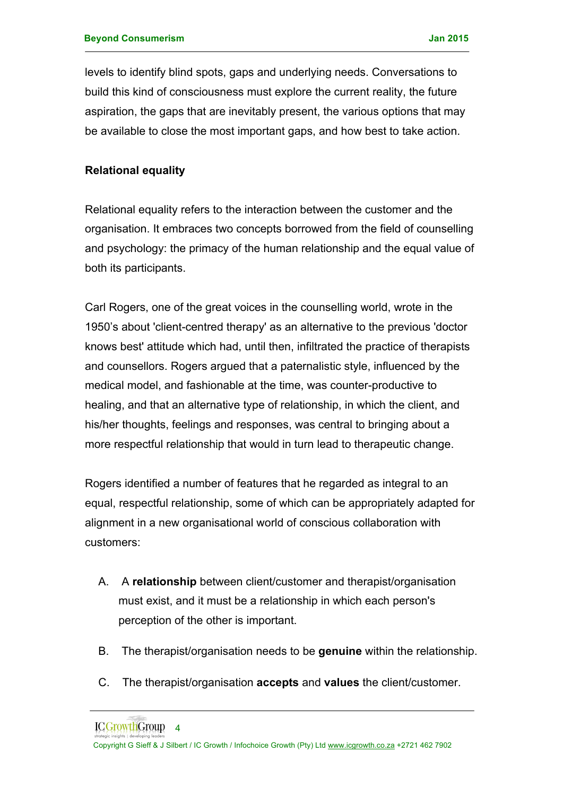levels to identify blind spots, gaps and underlying needs. Conversations to build this kind of consciousness must explore the current reality, the future aspiration, the gaps that are inevitably present, the various options that may be available to close the most important gaps, and how best to take action.

### **Relational equality**

Relational equality refers to the interaction between the customer and the organisation. It embraces two concepts borrowed from the field of counselling and psychology: the primacy of the human relationship and the equal value of both its participants.

Carl Rogers, one of the great voices in the counselling world, wrote in the 1950's about 'client-centred therapy' as an alternative to the previous 'doctor knows best' attitude which had, until then, infiltrated the practice of therapists and counsellors. Rogers argued that a paternalistic style, influenced by the medical model, and fashionable at the time, was counter-productive to healing, and that an alternative type of relationship, in which the client, and his/her thoughts, feelings and responses, was central to bringing about a more respectful relationship that would in turn lead to therapeutic change.

Rogers identified a number of features that he regarded as integral to an equal, respectful relationship, some of which can be appropriately adapted for alignment in a new organisational world of conscious collaboration with customers:

- A. A **relationship** between client/customer and therapist/organisation must exist, and it must be a relationship in which each person's perception of the other is important.
- B. The therapist/organisation needs to be **genuine** within the relationship.
- C. The therapist/organisation **accepts** and **values** the client/customer.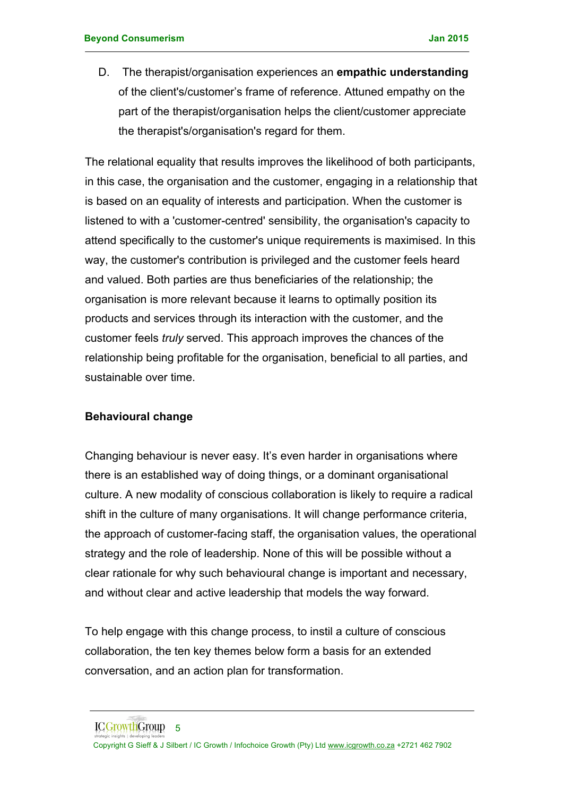D. The therapist/organisation experiences an **empathic understanding** of the client's/customer's frame of reference. Attuned empathy on the part of the therapist/organisation helps the client/customer appreciate the therapist's/organisation's regard for them.

The relational equality that results improves the likelihood of both participants, in this case, the organisation and the customer, engaging in a relationship that is based on an equality of interests and participation. When the customer is listened to with a 'customer-centred' sensibility, the organisation's capacity to attend specifically to the customer's unique requirements is maximised. In this way, the customer's contribution is privileged and the customer feels heard and valued. Both parties are thus beneficiaries of the relationship; the organisation is more relevant because it learns to optimally position its products and services through its interaction with the customer, and the customer feels *truly* served. This approach improves the chances of the relationship being profitable for the organisation, beneficial to all parties, and sustainable over time.

### **Behavioural change**

Changing behaviour is never easy. It's even harder in organisations where there is an established way of doing things, or a dominant organisational culture. A new modality of conscious collaboration is likely to require a radical shift in the culture of many organisations. It will change performance criteria, the approach of customer-facing staff, the organisation values, the operational strategy and the role of leadership. None of this will be possible without a clear rationale for why such behavioural change is important and necessary, and without clear and active leadership that models the way forward.

To help engage with this change process, to instil a culture of conscious collaboration, the ten key themes below form a basis for an extended conversation, and an action plan for transformation.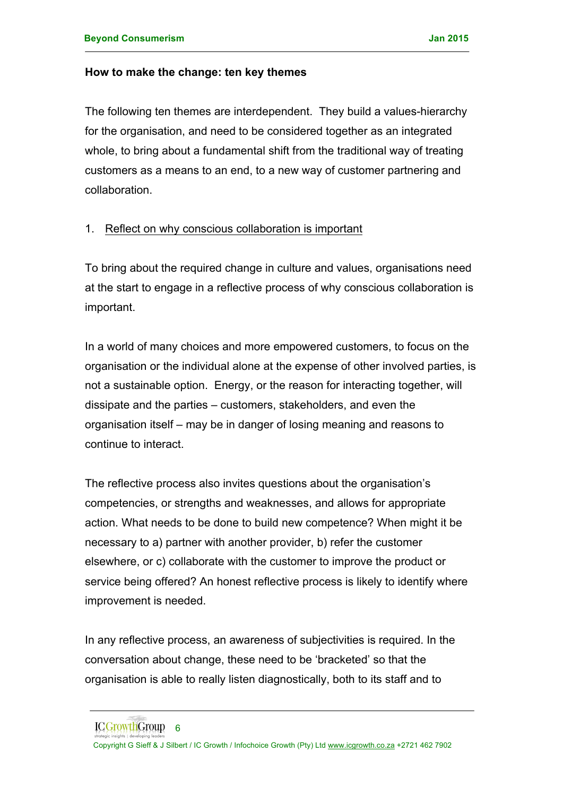#### **How to make the change: ten key themes**

The following ten themes are interdependent. They build a values-hierarchy for the organisation, and need to be considered together as an integrated whole, to bring about a fundamental shift from the traditional way of treating customers as a means to an end, to a new way of customer partnering and collaboration.

### 1. Reflect on why conscious collaboration is important

To bring about the required change in culture and values, organisations need at the start to engage in a reflective process of why conscious collaboration is important.

In a world of many choices and more empowered customers, to focus on the organisation or the individual alone at the expense of other involved parties, is not a sustainable option. Energy, or the reason for interacting together, will dissipate and the parties – customers, stakeholders, and even the organisation itself – may be in danger of losing meaning and reasons to continue to interact.

The reflective process also invites questions about the organisation's competencies, or strengths and weaknesses, and allows for appropriate action. What needs to be done to build new competence? When might it be necessary to a) partner with another provider, b) refer the customer elsewhere, or c) collaborate with the customer to improve the product or service being offered? An honest reflective process is likely to identify where improvement is needed.

In any reflective process, an awareness of subjectivities is required. In the conversation about change, these need to be 'bracketed' so that the organisation is able to really listen diagnostically, both to its staff and to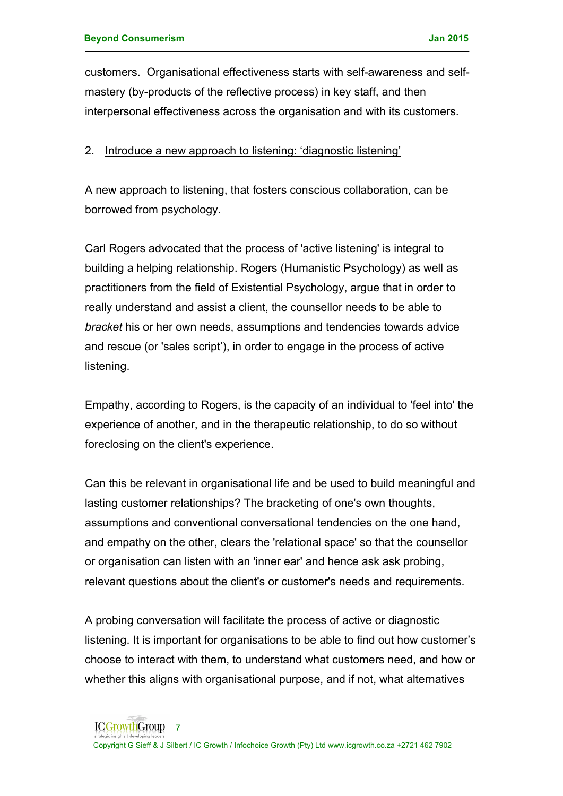customers. Organisational effectiveness starts with self-awareness and selfmastery (by-products of the reflective process) in key staff, and then interpersonal effectiveness across the organisation and with its customers.

#### 2. Introduce a new approach to listening: 'diagnostic listening'

A new approach to listening, that fosters conscious collaboration, can be borrowed from psychology.

Carl Rogers advocated that the process of 'active listening' is integral to building a helping relationship. Rogers (Humanistic Psychology) as well as practitioners from the field of Existential Psychology, argue that in order to really understand and assist a client, the counsellor needs to be able to *bracket* his or her own needs, assumptions and tendencies towards advice and rescue (or 'sales script'), in order to engage in the process of active listening.

Empathy, according to Rogers, is the capacity of an individual to 'feel into' the experience of another, and in the therapeutic relationship, to do so without foreclosing on the client's experience.

Can this be relevant in organisational life and be used to build meaningful and lasting customer relationships? The bracketing of one's own thoughts, assumptions and conventional conversational tendencies on the one hand, and empathy on the other, clears the 'relational space' so that the counsellor or organisation can listen with an 'inner ear' and hence ask ask probing, relevant questions about the client's or customer's needs and requirements.

A probing conversation will facilitate the process of active or diagnostic listening. It is important for organisations to be able to find out how customer's choose to interact with them, to understand what customers need, and how or whether this aligns with organisational purpose, and if not, what alternatives

Copyright G Sieff & J Silbert / IC Growth / Infochoice Growth (Pty) Ltd www.icgrowth.co.za +2721 462 7902

ICGrowthGroup 7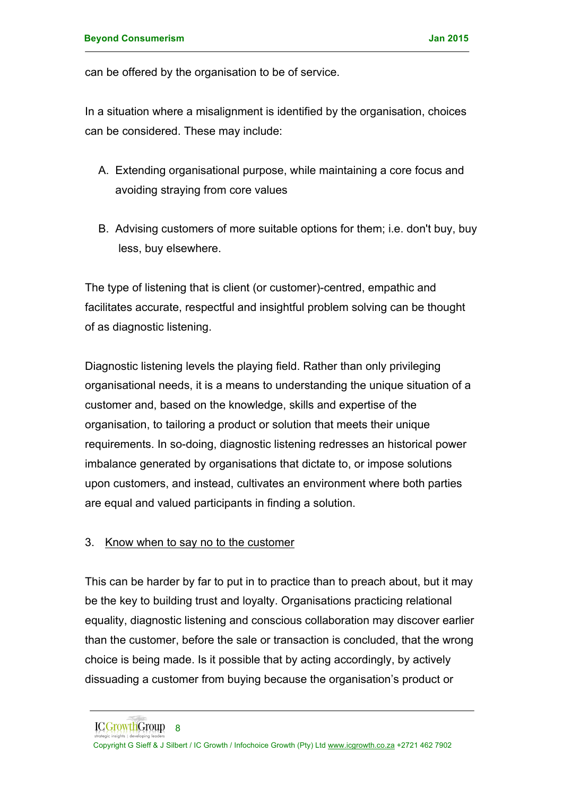can be offered by the organisation to be of service.

In a situation where a misalignment is identified by the organisation, choices can be considered. These may include:

- A. Extending organisational purpose, while maintaining a core focus and avoiding straying from core values
- B. Advising customers of more suitable options for them; i.e. don't buy, buy less, buy elsewhere.

The type of listening that is client (or customer)-centred, empathic and facilitates accurate, respectful and insightful problem solving can be thought of as diagnostic listening.

Diagnostic listening levels the playing field. Rather than only privileging organisational needs, it is a means to understanding the unique situation of a customer and, based on the knowledge, skills and expertise of the organisation, to tailoring a product or solution that meets their unique requirements. In so-doing, diagnostic listening redresses an historical power imbalance generated by organisations that dictate to, or impose solutions upon customers, and instead, cultivates an environment where both parties are equal and valued participants in finding a solution.

## 3. Know when to say no to the customer

This can be harder by far to put in to practice than to preach about, but it may be the key to building trust and loyalty. Organisations practicing relational equality, diagnostic listening and conscious collaboration may discover earlier than the customer, before the sale or transaction is concluded, that the wrong choice is being made. Is it possible that by acting accordingly, by actively dissuading a customer from buying because the organisation's product or

ICGrowthGroup 8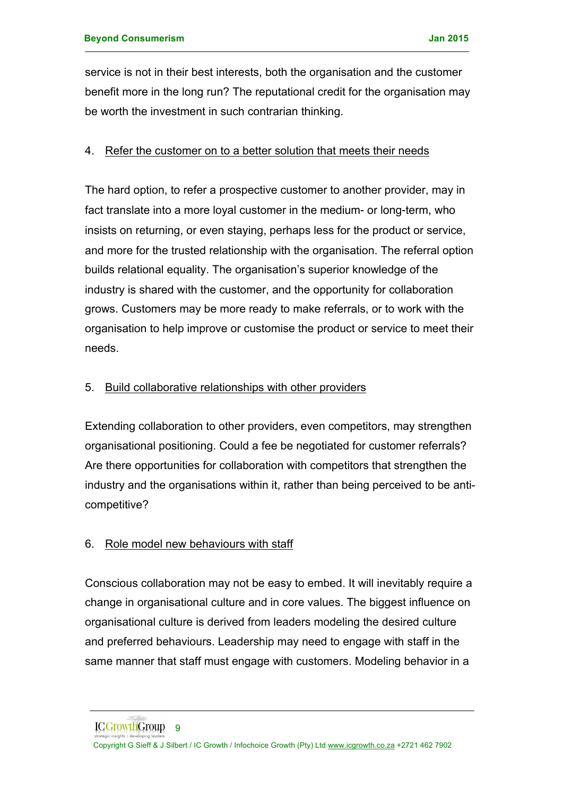service is not in their best interests, both the organisation and the customer benefit more in the long run? The reputational credit for the organisation may be worth the investment in such contrarian thinking.

### 4. Refer the customer on to a better solution that meets their needs

The hard option, to refer a prospective customer to another provider, may in fact translate into a more loyal customer in the medium- or long-term, who insists on returning, or even staying, perhaps less for the product or service, and more for the trusted relationship with the organisation. The referral option builds relational equality. The organisation's superior knowledge of the industry is shared with the customer, and the opportunity for collaboration grows. Customers may be more ready to make referrals, or to work with the organisation to help improve or customise the product or service to meet their needs.

### 5. Build collaborative relationships with other providers

Extending collaboration to other providers, even competitors, may strengthen organisational positioning. Could a fee be negotiated for customer referrals? Are there opportunities for collaboration with competitors that strengthen the industry and the organisations within it, rather than being perceived to be anticompetitive?

## 6. Role model new behaviours with staff

Conscious collaboration may not be easy to embed. It will inevitably require a change in organisational culture and in core values. The biggest influence on organisational culture is derived from leaders modeling the desired culture and preferred behaviours. Leadership may need to engage with staff in the same manner that staff must engage with customers. Modeling behavior in a

Copyright G Sieff & J Silbert / IC Growth / Infochoice Growth (Pty) Ltd www.icgrowth.co.za +2721 462 7902 ICGrowthGroup<sub>9</sub>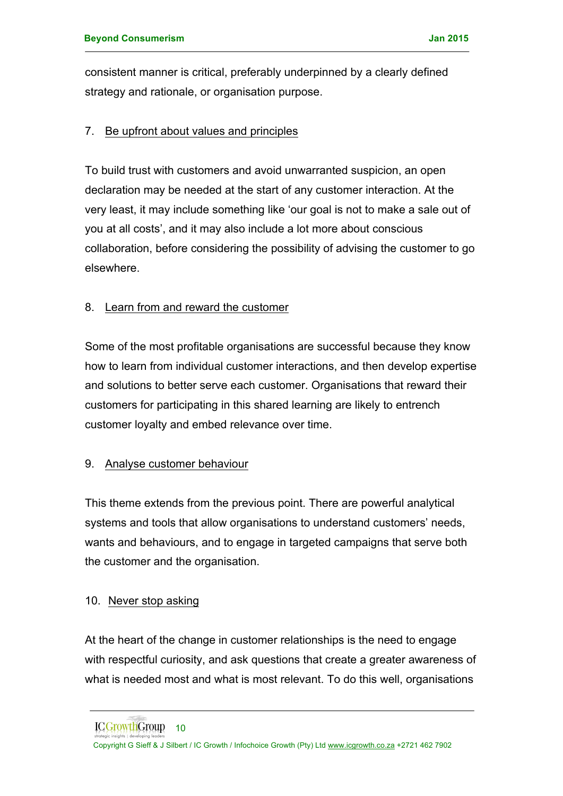consistent manner is critical, preferably underpinned by a clearly defined strategy and rationale, or organisation purpose.

### 7. Be upfront about values and principles

To build trust with customers and avoid unwarranted suspicion, an open declaration may be needed at the start of any customer interaction. At the very least, it may include something like 'our goal is not to make a sale out of you at all costs', and it may also include a lot more about conscious collaboration, before considering the possibility of advising the customer to go elsewhere.

### 8. Learn from and reward the customer

Some of the most profitable organisations are successful because they know how to learn from individual customer interactions, and then develop expertise and solutions to better serve each customer. Organisations that reward their customers for participating in this shared learning are likely to entrench customer loyalty and embed relevance over time.

## 9. Analyse customer behaviour

This theme extends from the previous point. There are powerful analytical systems and tools that allow organisations to understand customers' needs, wants and behaviours, and to engage in targeted campaigns that serve both the customer and the organisation.

### 10. Never stop asking

At the heart of the change in customer relationships is the need to engage with respectful curiosity, and ask questions that create a greater awareness of what is needed most and what is most relevant. To do this well, organisations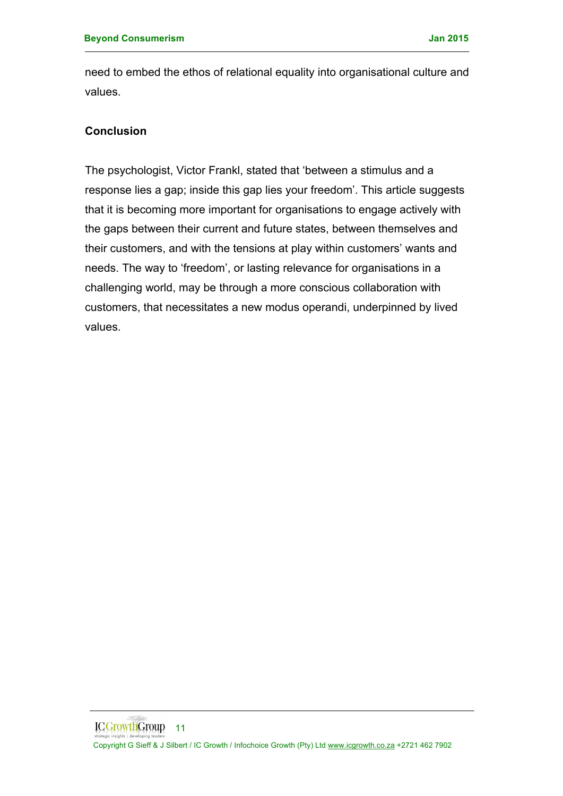need to embed the ethos of relational equality into organisational culture and values.

### **Conclusion**

The psychologist, Victor Frankl, stated that 'between a stimulus and a response lies a gap; inside this gap lies your freedom'. This article suggests that it is becoming more important for organisations to engage actively with the gaps between their current and future states, between themselves and their customers, and with the tensions at play within customers' wants and needs. The way to 'freedom', or lasting relevance for organisations in a challenging world, may be through a more conscious collaboration with customers, that necessitates a new modus operandi, underpinned by lived values.